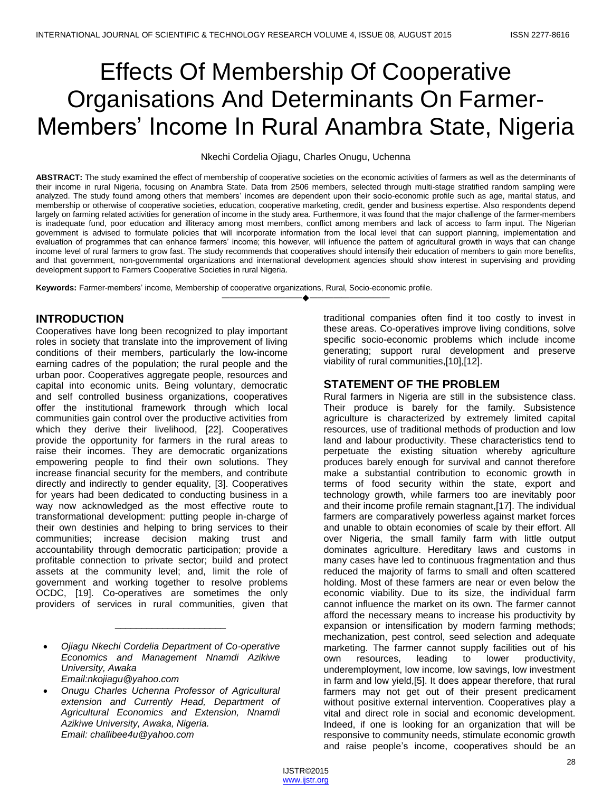# Effects Of Membership Of Cooperative Organisations And Determinants On Farmer-Members' Income In Rural Anambra State, Nigeria

Nkechi Cordelia Ojiagu, Charles Onugu, Uchenna

ABSTRACT: The study examined the effect of membership of cooperative societies on the economic activities of farmers as well as the determinants of their income in rural Nigeria, focusing on Anambra State. Data from 2506 members, selected through multi-stage stratified random sampling were analyzed. The study found among others that members' incomes are dependent upon their socio-economic profile such as age, marital status, and membership or otherwise of cooperative societies, education, cooperative marketing, credit, gender and business expertise. Also respondents depend largely on farming related activities for generation of income in the study area. Furthermore, it was found that the major challenge of the farmer-members is inadequate fund, poor education and illiteracy among most members, conflict among members and lack of access to farm input. The Nigerian government is advised to formulate policies that will incorporate information from the local level that can support planning, implementation and evaluation of programmes that can enhance farmers' income; this however, will influence the pattern of agricultural growth in ways that can change income level of rural farmers to grow fast. The study recommends that cooperatives should intensify their education of members to gain more benefits, and that government, non-governmental organizations and international development agencies should show interest in supervising and providing development support to Farmers Cooperative Societies in rural Nigeria.

————————————————————

**Keywords:** Farmer-members' income, Membership of cooperative organizations, Rural, Socio-economic profile.

## **INTRODUCTION**

Cooperatives have long been recognized to play important roles in society that translate into the improvement of living conditions of their members, particularly the low-income earning cadres of the population; the rural people and the urban poor. Cooperatives aggregate people, resources and capital into economic units. Being voluntary, democratic and self controlled business organizations, cooperatives offer the institutional framework through which local communities gain control over the productive activities from which they derive their livelihood, [22]. Cooperatives provide the opportunity for farmers in the rural areas to raise their incomes. They are democratic organizations empowering people to find their own solutions. They increase financial security for the members, and contribute directly and indirectly to gender equality, [3]. Cooperatives for years had been dedicated to conducting business in a way now acknowledged as the most effective route to transformational development: putting people in-charge of their own destinies and helping to bring services to their communities; increase decision making trust and accountability through democratic participation; provide a profitable connection to private sector; build and protect assets at the community level; and, limit the role of government and working together to resolve problems OCDC, [19]. Co-operatives are sometimes the only providers of services in rural communities, given that

\_\_\_\_\_\_\_\_\_\_\_\_\_\_\_\_\_\_\_\_\_

*Email:nkojiagu@yahoo.com*

traditional companies often find it too costly to invest in these areas. Co-operatives improve living conditions, solve specific socio-economic problems which include income generating; support rural development and preserve viability of rural communities,[10],[12].

## **STATEMENT OF THE PROBLEM**

Rural farmers in Nigeria are still in the subsistence class. Their produce is barely for the family. Subsistence agriculture is characterized by extremely limited capital resources, use of traditional methods of production and low land and labour productivity. These characteristics tend to perpetuate the existing situation whereby agriculture produces barely enough for survival and cannot therefore make a substantial contribution to economic growth in terms of food security within the state, export and technology growth, while farmers too are inevitably poor and their income profile remain stagnant,[17]. The individual farmers are comparatively powerless against market forces and unable to obtain economies of scale by their effort. All over Nigeria, the small family farm with little output dominates agriculture. Hereditary laws and customs in many cases have led to continuous fragmentation and thus reduced the majority of farms to small and often scattered holding. Most of these farmers are near or even below the economic viability. Due to its size, the individual farm cannot influence the market on its own. The farmer cannot afford the necessary means to increase his productivity by expansion or intensification by modern farming methods; mechanization, pest control, seed selection and adequate marketing. The farmer cannot supply facilities out of his own resources, leading to lower productivity, underemployment, low income, low savings, low investment in farm and low yield,[5]. It does appear therefore, that rural farmers may not get out of their present predicament without positive external intervention. Cooperatives play a vital and direct role in social and economic development. Indeed, if one is looking for an organization that will be responsive to community needs, stimulate economic growth and raise people's income, cooperatives should be an

*Ojiagu Nkechi Cordelia Department of Co-operative Economics and Management Nnamdi Azikiwe University, Awaka* 

*Onugu Charles Uchenna Professor of Agricultural extension and Currently Head, Department of Agricultural Economics and Extension, Nnamdi Azikiwe University, Awaka, Nigeria. Email: challibee4u@yahoo.com*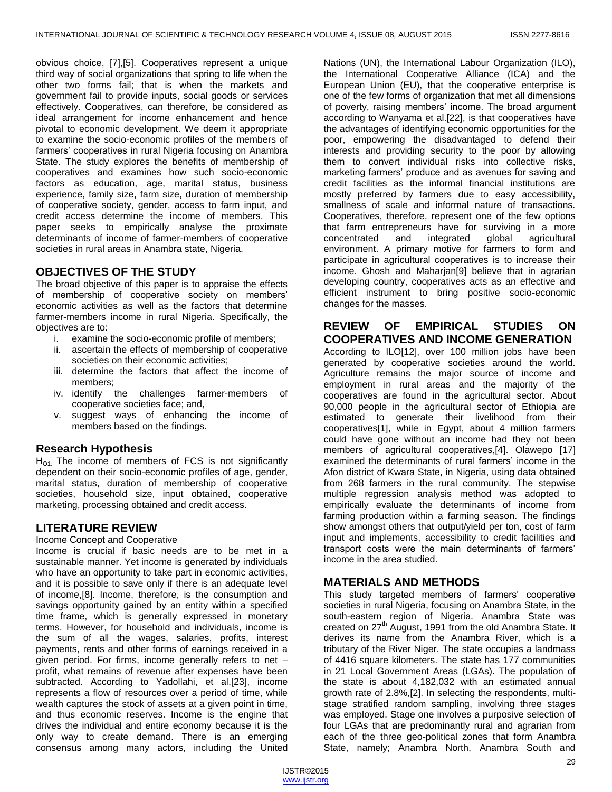obvious choice, [7],[5]. Cooperatives represent a unique third way of social organizations that spring to life when the other two forms fail; that is when the markets and government fail to provide inputs, social goods or services effectively. Cooperatives, can therefore, be considered as ideal arrangement for income enhancement and hence pivotal to economic development. We deem it appropriate to examine the socio-economic profiles of the members of farmers' cooperatives in rural Nigeria focusing on Anambra State. The study explores the benefits of membership of cooperatives and examines how such socio-economic factors as education, age, marital status, business experience, family size, farm size, duration of membership of cooperative society, gender, access to farm input, and credit access determine the income of members. This paper seeks to empirically analyse the proximate determinants of income of farmer-members of cooperative societies in rural areas in Anambra state, Nigeria.

# **OBJECTIVES OF THE STUDY**

The broad objective of this paper is to appraise the effects of membership of cooperative society on members' economic activities as well as the factors that determine farmer-members income in rural Nigeria. Specifically, the objectives are to:

- i. examine the socio-economic profile of members;
- ii. ascertain the effects of membership of cooperative societies on their economic activities;
- iii. determine the factors that affect the income of members;
- iv. identify the challenges farmer-members of cooperative societies face; and,
- v. suggest ways of enhancing the income of members based on the findings.

## **Research Hypothesis**

H<sub>O1</sub>. The income of members of FCS is not significantly dependent on their socio-economic profiles of age, gender, marital status, duration of membership of cooperative societies, household size, input obtained, cooperative marketing, processing obtained and credit access.

## **LITERATURE REVIEW**

#### Income Concept and Cooperative

Income is crucial if basic needs are to be met in a sustainable manner. Yet income is generated by individuals who have an opportunity to take part in economic activities, and it is possible to save only if there is an adequate level of income,[8]. Income, therefore, is the consumption and savings opportunity gained by an entity within a specified time frame, which is generally expressed in monetary terms. However, for household and individuals, income is the sum of all the wages, salaries, profits, interest payments, rents and other forms of earnings received in a given period. For firms, income generally refers to net – profit, what remains of revenue after expenses have been subtracted. According to Yadollahi, et al.[23], income represents a flow of resources over a period of time, while wealth captures the stock of assets at a given point in time, and thus economic reserves. Income is the engine that drives the individual and entire economy because it is the only way to create demand. There is an emerging consensus among many actors, including the United

Nations (UN), the International Labour Organization (ILO), the International Cooperative Alliance (ICA) and the European Union (EU), that the cooperative enterprise is one of the few forms of organization that met all dimensions of poverty, raising members' income. The broad argument according to Wanyama et al.[22], is that cooperatives have the advantages of identifying economic opportunities for the poor, empowering the disadvantaged to defend their interests and providing security to the poor by allowing them to convert individual risks into collective risks, marketing farmers' produce and as avenues for saving and credit facilities as the informal financial institutions are mostly preferred by farmers due to easy accessibility, smallness of scale and informal nature of transactions. Cooperatives, therefore, represent one of the few options that farm entrepreneurs have for surviving in a more concentrated and integrated global agricultural environment. A primary motive for farmers to form and participate in agricultural cooperatives is to increase their income. Ghosh and Maharjan[9] believe that in agrarian developing country, cooperatives acts as an effective and efficient instrument to bring positive socio-economic changes for the masses.

# **REVIEW OF EMPIRICAL STUDIES ON COOPERATIVES AND INCOME GENERATION**

According to ILO[12], over 100 million jobs have been generated by cooperative societies around the world. Agriculture remains the major source of income and employment in rural areas and the majority of the cooperatives are found in the agricultural sector. About 90,000 people in the agricultural sector of Ethiopia are estimated to generate their livelihood from their cooperatives[1], while in Egypt, about 4 million farmers could have gone without an income had they not been members of agricultural cooperatives,[4]. Olawepo [17] examined the determinants of rural farmers' income in the Afon district of Kwara State, in Nigeria, using data obtained from 268 farmers in the rural community. The stepwise multiple regression analysis method was adopted to empirically evaluate the determinants of income from farming production within a farming season. The findings show amongst others that output/yield per ton, cost of farm input and implements, accessibility to credit facilities and transport costs were the main determinants of farmers' income in the area studied.

## **MATERIALS AND METHODS**

This study targeted members of farmers' cooperative societies in rural Nigeria, focusing on Anambra State, in the south-eastern region of Nigeria. Anambra State was created on  $27<sup>th</sup>$  August, 1991 from the old Anambra State. It derives its name from the Anambra River, which is a tributary of the River Niger. The state occupies a landmass of 4416 square kilometers. The state has 177 communities in 21 Local Government Areas (LGAs). The population of the state is about 4,182,032 with an estimated annual growth rate of 2.8%,[2]. In selecting the respondents, multistage stratified random sampling, involving three stages was employed. Stage one involves a purposive selection of four LGAs that are predominantly rural and agrarian from each of the three geo-political zones that form Anambra State, namely; Anambra North, Anambra South and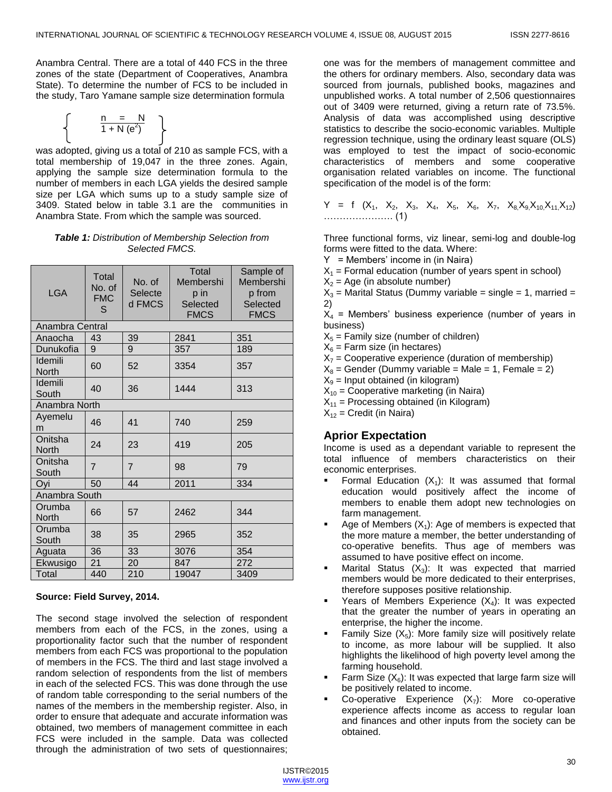Anambra Central. There are a total of 440 FCS in the three zones of the state (Department of Cooperatives, Anambra State). To determine the number of FCS to be included in the study, Taro Yamane sample size determination formula

$$
\left\{\begin{array}{cc} n & = & N \\ \hline 1 + N(e^2) & \end{array}\right\}
$$

was adopted, giving us a total of 210 as sample FCS, with a total membership of 19,047 in the three zones. Again, applying the sample size determination formula to the number of members in each LGA yields the desired sample size per LGA which sums up to a study sample size of 3409. Stated below in table 3.1 are the communities in Anambra State. From which the sample was sourced.

#### *Table 1: Distribution of Membership Selection from Selected FMCS.*

| <b>LGA</b>              | Total<br>No. of<br><b>FMC</b><br>S | No. of<br>Selecte<br>d FMCS | <b>Total</b><br>Membershi<br>p in<br>Selected<br><b>FMCS</b> | Sample of<br>Membershi<br>p from<br>Selected<br><b>FMCS</b> |  |
|-------------------------|------------------------------------|-----------------------------|--------------------------------------------------------------|-------------------------------------------------------------|--|
| Anambra Central         |                                    |                             |                                                              |                                                             |  |
| Anaocha                 | 43                                 | 39                          | 2841                                                         | 351                                                         |  |
| Dunukofia               | 9                                  | 9                           | 357                                                          | 189                                                         |  |
| Idemili<br><b>North</b> | 60                                 | 52                          | 3354                                                         | 357                                                         |  |
| Idemili<br>South        | 40                                 | 36                          | 1444                                                         | 313                                                         |  |
| Anambra North           |                                    |                             |                                                              |                                                             |  |
| Ayemelu<br>m            | 46                                 | 41                          | 740                                                          | 259                                                         |  |
| Onitsha<br>North        | 24                                 | 23                          | 419                                                          | 205                                                         |  |
| Onitsha<br>South        | $\overline{7}$                     | $\overline{7}$              | 98                                                           | 79                                                          |  |
| Ovi                     | 50                                 | 44                          | 2011                                                         | 334                                                         |  |
| Anambra South           |                                    |                             |                                                              |                                                             |  |
| Orumba<br><b>North</b>  | 66                                 | 57                          | 2462                                                         | 344                                                         |  |
| Orumba<br>South         | 38                                 | 35                          | 2965                                                         | 352                                                         |  |
| Aguata                  | 36                                 | 33                          | 3076                                                         | 354                                                         |  |
| Ekwusigo                | 21                                 | 20                          | 847                                                          | 272                                                         |  |
| Total                   | 440                                | 210                         | 19047                                                        | 3409                                                        |  |

#### **Source: Field Survey, 2014.**

The second stage involved the selection of respondent members from each of the FCS, in the zones, using a proportionality factor such that the number of respondent members from each FCS was proportional to the population of members in the FCS. The third and last stage involved a random selection of respondents from the list of members in each of the selected FCS. This was done through the use of random table corresponding to the serial numbers of the names of the members in the membership register. Also, in order to ensure that adequate and accurate information was obtained, two members of management committee in each FCS were included in the sample. Data was collected through the administration of two sets of questionnaires;

one was for the members of management committee and the others for ordinary members. Also, secondary data was sourced from journals, published books, magazines and unpublished works. A total number of 2,506 questionnaires out of 3409 were returned, giving a return rate of 73.5%. Analysis of data was accomplished using descriptive statistics to describe the socio-economic variables. Multiple regression technique, using the ordinary least square (OLS) was employed to test the impact of socio-economic characteristics of members and some cooperative organisation related variables on income. The functional specification of the model is of the form:

 $Y = f (X_1, X_2, X_3, X_4, X_5, X_6, X_7, X_8X_9X_{10}X_{11}X_{12})$ …………………. (1)

Three functional forms, viz linear, semi-log and double-log forms were fitted to the data. Where:

- $Y =$  Members' income in (in Naira)
- $X_1$  = Formal education (number of years spent in school)
- $X<sub>2</sub>$  = Age (in absolute number)

 $X_3$  = Marital Status (Dummy variable = single = 1, married = 2)

 $X_4$  = Members' business experience (number of years in business)

- $X<sub>5</sub>$  = Family size (number of children)
- $X_6$  = Farm size (in hectares)
- $X_7$  = Cooperative experience (duration of membership)

 $X_8$  = Gender (Dummy variable = Male = 1, Female = 2)

 $X<sub>9</sub>$  = Input obtained (in kilogram)

 $X_{10}$  = Cooperative marketing (in Naira)

 $X_{11}$  = Processing obtained (in Kilogram)

 $X_{12}$  = Credit (in Naira)

# **Aprior Expectation**

Income is used as a dependant variable to represent the total influence of members characteristics on their economic enterprises.

- Formal Education  $(X_1)$ : It was assumed that formal education would positively affect the income of members to enable them adopt new technologies on farm management.
- Age of Members  $(X_1)$ : Age of members is expected that the more mature a member, the better understanding of co-operative benefits. Thus age of members was assumed to have positive effect on income.
- Marital Status  $(X_3)$ : It was expected that married members would be more dedicated to their enterprises, therefore supposes positive relationship.
- Years of Members Experience  $(X_4)$ : It was expected that the greater the number of years in operating an enterprise, the higher the income.
- Family Size  $(X_5)$ : More family size will positively relate to income, as more labour will be supplied. It also highlights the likelihood of high poverty level among the farming household.
- Farm Size  $(X_6)$ : It was expected that large farm size will be positively related to income.
- Co-operative Experience  $(X_7)$ : More co-operative experience affects income as access to regular loan and finances and other inputs from the society can be obtained.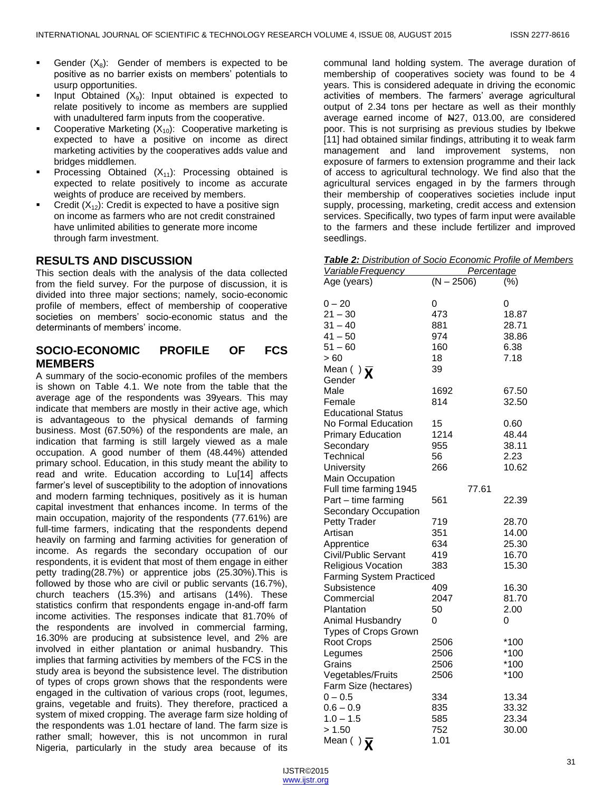- Gender  $(X_8)$ : Gender of members is expected to be positive as no barrier exists on members' potentials to usurp opportunities.
- Input Obtained  $(X_9)$ : Input obtained is expected to relate positively to income as members are supplied with unadultered farm inputs from the cooperative.
- Cooperative Marketing  $(X_{10})$ : Cooperative marketing is expected to have a positive on income as direct marketing activities by the cooperatives adds value and bridges middlemen.
- Processing Obtained  $(X_{11})$ : Processing obtained is expected to relate positively to income as accurate weights of produce are received by members.
- Credit  $(X_{12})$ : Credit is expected to have a positive sign on income as farmers who are not credit constrained have unlimited abilities to generate more income through farm investment.

## **RESULTS AND DISCUSSION**

This section deals with the analysis of the data collected from the field survey. For the purpose of discussion, it is divided into three major sections; namely, socio-economic profile of members, effect of membership of cooperative societies on members' socio-economic status and the determinants of members' income.

# **SOCIO-ECONOMIC PROFILE OF FCS MEMBERS**

A summary of the socio-economic profiles of the members is shown on Table 4.1. We note from the table that the average age of the respondents was 39years. This may indicate that members are mostly in their active age, which is advantageous to the physical demands of farming business. Most (67.50%) of the respondents are male, an indication that farming is still largely viewed as a male occupation. A good number of them (48.44%) attended primary school. Education, in this study meant the ability to read and write. Education according to Lu[14] affects farmer's level of susceptibility to the adoption of innovations and modern farming techniques, positively as it is human capital investment that enhances income. In terms of the main occupation, majority of the respondents (77.61%) are full-time farmers, indicating that the respondents depend heavily on farming and farming activities for generation of income. As regards the secondary occupation of our respondents, it is evident that most of them engage in either petty trading(28.7%) or apprentice jobs (25.30%).This is followed by those who are civil or public servants (16.7%), church teachers (15.3%) and artisans (14%). These statistics confirm that respondents engage in-and-off farm income activities. The responses indicate that 81.70% of the respondents are involved in commercial farming, 16.30% are producing at subsistence level, and 2% are involved in either plantation or animal husbandry. This implies that farming activities by members of the FCS in the study area is beyond the subsistence level. The distribution of types of crops grown shows that the respondents were engaged in the cultivation of various crops (root, legumes, grains, vegetable and fruits). They therefore, practiced a system of mixed cropping. The average farm size holding of the respondents was 1.01 hectare of land. The farm size is rather small; however, this is not uncommon in rural Nigeria, particularly in the study area because of its

communal land holding system. The average duration of membership of cooperatives society was found to be 4 years. This is considered adequate in driving the economic activities of members. The farmers' average agricultural output of 2.34 tons per hectare as well as their monthly average earned income of N27, 013.00, are considered poor. This is not surprising as previous studies by Ibekwe [11] had obtained similar findings, attributing it to weak farm management and land improvement systems, non exposure of farmers to extension programme and their lack of access to agricultural technology. We find also that the agricultural services engaged in by the farmers through their membership of cooperatives societies include input supply, processing, marketing, credit access and extension services. Specifically, two types of farm input were available to the farmers and these include fertilizer and improved seedlings.

|--|

| <u>Variable Frequency</u>       | Percentage   |        |
|---------------------------------|--------------|--------|
| Age (years)                     | $(N - 2506)$ | (%)    |
|                                 |              |        |
| $0 - 20$                        | 0            | 0      |
| $21 - 30$                       | 473          | 18.87  |
| $31 - 40$                       | 881          | 28.71  |
| $41 - 50$                       | 974          | 38.86  |
| $51 - 60$                       | 160          | 6.38   |
| > 60                            | 18           | 7.18   |
| Mean () $\bar{\mathbf{X}}$      | 39           |        |
| Gender                          |              |        |
| Male                            | 1692         | 67.50  |
| Female                          | 814          | 32.50  |
| <b>Educational Status</b>       |              |        |
| No Formal Education             | 15           | 0.60   |
| <b>Primary Education</b>        | 1214         | 48.44  |
| Secondary                       | 955          | 38.11  |
| Technical                       | 56           | 2.23   |
| University                      | 266          | 10.62  |
| Main Occupation                 |              |        |
| Full time farming 1945          | 77.61        |        |
| Part - time farming             | 561          | 22.39  |
| Secondary Occupation            |              |        |
| Petty Trader                    | 719          | 28.70  |
| Artisan                         | 351          | 14.00  |
| Apprentice                      | 634          | 25.30  |
| Civil/Public Servant            | 419          | 16.70  |
| <b>Religious Vocation</b>       | 383          | 15.30  |
| <b>Farming System Practiced</b> |              |        |
| Subsistence                     | 409          | 16.30  |
| Commercial                      | 2047         | 81.70  |
| Plantation                      | 50           | 2.00   |
| Animal Husbandry                | 0            | 0      |
| Types of Crops Grown            |              |        |
| Root Crops                      | 2506         | *100   |
| Legumes                         | 2506         | $*100$ |
| Grains                          | 2506         | $*100$ |
| Vegetables/Fruits               | 2506         | *100   |
| Farm Size (hectares)            |              |        |
| $0 - 0.5$                       | 334          | 13.34  |
| $0.6-0.9$                       | 835          | 33.32  |
| $1.0 - 1.5$                     | 585          | 23.34  |
| > 1.50                          | 752          | 30.00  |
| Mean ( ) $\bar{\mathbf{x}}$     | 1.01         |        |
|                                 |              |        |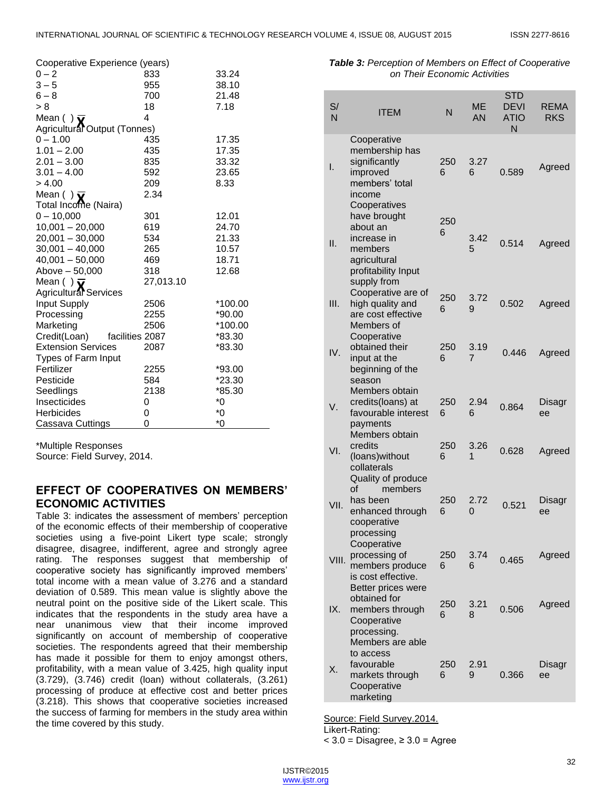| Cooperative Experience (years)  |           |          |
|---------------------------------|-----------|----------|
| $0 - 2$                         | 833       | 33.24    |
| $3 - 5$                         | 955       | 38.10    |
| $6 - 8$                         | 700       | 21.48    |
| > 8                             | 18        | 7.18     |
| Mean () $\overline{\mathbf{v}}$ | 4         |          |
| Agricultural Output (Tonnes)    |           |          |
| $0 - 1.00$                      | 435       | 17.35    |
| $1.01 - 2.00$                   | 435       | 17.35    |
| $2.01 - 3.00$                   | 835       | 33.32    |
| $3.01 - 4.00$                   | 592       | 23.65    |
| > 4.00                          | 209       | 8.33     |
| Mean () $\overline{\mathbf{v}}$ | 2.34      |          |
| Total Income (Naira)            |           |          |
| $0 - 10,000$                    | 301       | 12.01    |
| $10,001 - 20,000$               | 619       | 24.70    |
| $20,001 - 30,000$               | 534       | 21.33    |
| $30,001 - 40,000$               | 265       | 10.57    |
| $40,001 - 50,000$               | 469       | 18.71    |
| Above - 50,000                  | 318       | 12.68    |
| Mean () $\overline{\mathbf{v}}$ | 27,013.10 |          |
| Agricultural Services           |           |          |
| Input Supply                    | 2506      | *100.00  |
| Processing                      | 2255      | $*90.00$ |
| Marketing                       | 2506      | *100.00  |
| Credit(Loan)<br>facilities 2087 |           | *83.30   |
| <b>Extension Services</b>       | 2087      | *83.30   |
| Types of Farm Input             |           |          |
| Fertilizer                      | 2255      | *93.00   |
| Pesticide                       | 584       | $*23.30$ |
| Seedlings                       | 2138      | *85.30   |
| Insecticides                    | 0         | $^*0$    |
| <b>Herbicides</b>               | 0         | *0       |
| Cassava Cuttings                | 0         | $^*0$    |

\*Multiple Responses

Source: Field Survey, 2014.

# **EFFECT OF COOPERATIVES ON MEMBERS' ECONOMIC ACTIVITIES**

Table 3: indicates the assessment of members' perception of the economic effects of their membership of cooperative societies using a five-point Likert type scale; strongly disagree, disagree, indifferent, agree and strongly agree rating. The responses suggest that membership of cooperative society has significantly improved members' total income with a mean value of 3.276 and a standard deviation of 0.589. This mean value is slightly above the neutral point on the positive side of the Likert scale. This indicates that the respondents in the study area have a near unanimous view that their income improved significantly on account of membership of cooperative societies. The respondents agreed that their membership has made it possible for them to enjoy amongst others, profitability, with a mean value of 3.425, high quality input (3.729), (3.746) credit (loan) without collaterals, (3.261) processing of produce at effective cost and better prices (3.218). This shows that cooperative societies increased the success of farming for members in the study area within the time covered by this study.

*Table 3: Perception of Members on Effect of Cooperative on Their Economic Activities*

| S/<br>N | <b>ITEM</b>                                                                                              | N        | ME<br>AN  | <b>STD</b><br><b>DEVI</b><br><b>ATIO</b><br>N | <b>REMA</b><br><b>RKS</b> |
|---------|----------------------------------------------------------------------------------------------------------|----------|-----------|-----------------------------------------------|---------------------------|
| I.      | Cooperative<br>membership has<br>significantly<br>improved<br>members' total<br>income<br>Cooperatives   | 250<br>6 | 3.27<br>6 | 0.589                                         | Agreed                    |
| ΙΙ.     | have brought<br>about an<br>increase in<br>members<br>agricultural<br>profitability Input<br>supply from | 250<br>6 | 3.42<br>5 | 0.514                                         | Agreed                    |
| III.    | Cooperative are of<br>high quality and<br>are cost effective<br>Members of                               | 250<br>6 | 3.72<br>9 | 0.502                                         | Agreed                    |
| IV.     | Cooperative<br>obtained their<br>input at the<br>beginning of the<br>season                              | 250<br>6 | 3.19<br>7 | 0.446                                         | Agreed                    |
| V.      | Members obtain<br>credits(loans) at<br>favourable interest<br>payments                                   | 250<br>6 | 2.94<br>6 | 0.864                                         | Disagr<br>ee              |
| VI.     | Members obtain<br>credits<br>(loans) without<br>collaterals<br>Quality of produce                        | 250<br>6 | 3.26<br>1 | 0.628                                         | Agreed                    |
| VII.    | Ωf<br>members<br>has been<br>enhanced through<br>cooperative                                             | 250<br>6 | 2.72<br>0 | 0.521                                         | Disagr<br>ee              |
| VIII.   | processing<br>Cooperative<br>processing of<br>members produce<br>is cost effective.                      | 250<br>6 | 3.74<br>6 | 0.465                                         | Agreed                    |
| IX.     | Better prices were<br>obtained for<br>members through<br>Cooperative<br>processing.                      | 250<br>6 | 3.21<br>8 | 0.506                                         | Agreed                    |
| Χ.      | Members are able<br>to access<br>favourable<br>markets through<br>Cooperative<br>marketing               | 250<br>6 | 2.91<br>9 | 0.366                                         | Disagr<br>ee              |

Source: Field Survey.2014. Likert-Rating:

 $<$  3.0 = Disagree,  $\geq$  3.0 = Agree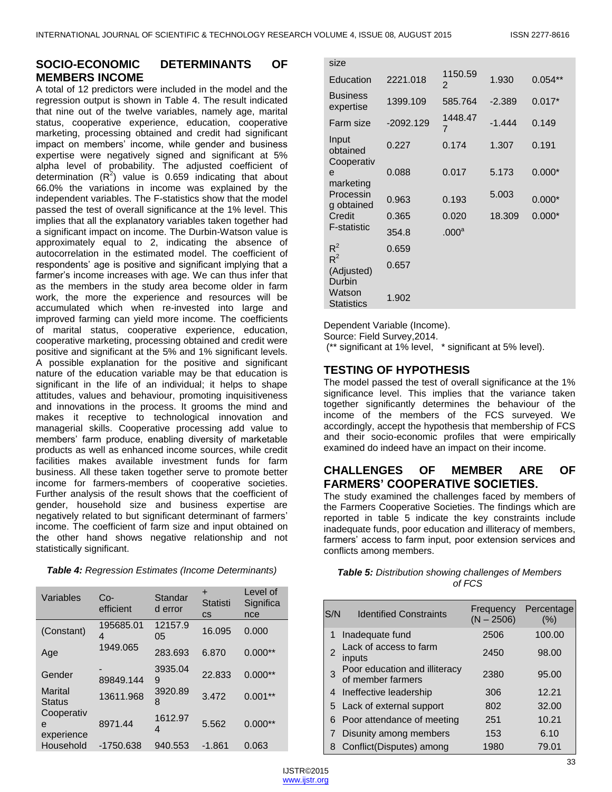# **SOCIO-ECONOMIC DETERMINANTS OF MEMBERS INCOME**

A total of 12 predictors were included in the model and the regression output is shown in Table 4. The result indicated that nine out of the twelve variables, namely age, marital status, cooperative experience, education, cooperative marketing, processing obtained and credit had significant impact on members' income, while gender and business expertise were negatively signed and significant at 5% alpha level of probability. The adjusted coefficient of determination  $(R^2)$  value is 0.659 indicating that about 66.0% the variations in income was explained by the independent variables. The F-statistics show that the model passed the test of overall significance at the 1% level. This implies that all the explanatory variables taken together had a significant impact on income. The Durbin-Watson value is approximately equal to 2, indicating the absence of autocorrelation in the estimated model. The coefficient of respondents' age is positive and significant implying that a farmer's income increases with age. We can thus infer that as the members in the study area become older in farm work, the more the experience and resources will be accumulated which when re-invested into large and improved farming can yield more income. The coefficients of marital status, cooperative experience, education, cooperative marketing, processing obtained and credit were positive and significant at the 5% and 1% significant levels. A possible explanation for the positive and significant nature of the education variable may be that education is significant in the life of an individual; it helps to shape attitudes, values and behaviour, promoting inquisitiveness and innovations in the process. It grooms the mind and makes it receptive to technological innovation and managerial skills. Cooperative processing add value to members' farm produce, enabling diversity of marketable products as well as enhanced income sources, while credit facilities makes available investment funds for farm business. All these taken together serve to promote better income for farmers-members of cooperative societies. Further analysis of the result shows that the coefficient of gender, household size and business expertise are negatively related to but significant determinant of farmers' income. The coefficient of farm size and input obtained on the other hand shows negative relationship and not statistically significant.

| Table 4: Regression Estimates (Income Determinants) |  |
|-----------------------------------------------------|--|
|-----------------------------------------------------|--|

| Variables                     | Co-<br>efficient | Standar<br>d error | ٠<br>Statisti<br>CS | Level of<br>Significa<br>nce |
|-------------------------------|------------------|--------------------|---------------------|------------------------------|
| (Constant)                    | 195685.01<br>4   | 12157.9<br>05      | 16.095              | 0.000                        |
| Age                           | 1949.065         | 283.693            | 6.870               | $0.000**$                    |
| Gender                        | 89849.144        | 3935.04<br>9       | 22.833              | $0.000**$                    |
| Marital<br><b>Status</b>      | 13611.968        | 3920.89<br>8       | 3.472               | $0.001**$                    |
| Cooperativ<br>e<br>experience | 8971.44          | 1612.97<br>4       | 5.562               | $0.000**$                    |
| Household                     | -1750.638        | 940.553            | -1.861              | 0.063                        |

| size                            |             |                           |          |           |
|---------------------------------|-------------|---------------------------|----------|-----------|
| Education                       | 2221.018    | 1150.59<br>2              | 1.930    | $0.054**$ |
| <b>Business</b><br>expertise    | 1399.109    | 585.764                   | $-2.389$ | $0.017*$  |
| Farm size                       | $-2092.129$ | 1448.47<br>$\overline{7}$ | $-1.444$ | 0.149     |
| Input<br>obtained<br>Cooperativ | 0.227       | 0.174                     | 1.307    | 0.191     |
| e<br>marketing                  | 0.088       | 0.017                     | 5.173    | $0.000*$  |
| Processin<br>g obtained         | 0.963       | 0.193                     | 5.003    | $0.000*$  |
| Credit                          | 0.365       | 0.020                     | 18.309   | $0.000*$  |
| F-statistic                     | 354.8       | .000 <sup>a</sup>         |          |           |
| $R^2$                           | 0.659       |                           |          |           |
| $R^2$<br>(Adjusted)<br>Durbin   | 0.657       |                           |          |           |
| Watson<br><b>Statistics</b>     | 1.902       |                           |          |           |

Dependent Variable (Income).

Source: Field Survey,2014.

(\*\* significant at 1% level, \* significant at 5% level).

# **TESTING OF HYPOTHESIS**

The model passed the test of overall significance at the 1% significance level. This implies that the variance taken together significantly determines the behaviour of the income of the members of the FCS surveyed. We accordingly, accept the hypothesis that membership of FCS and their socio-economic profiles that were empirically examined do indeed have an impact on their income.

# **CHALLENGES OF MEMBER ARE OF FARMERS' COOPERATIVE SOCIETIES.**

The study examined the challenges faced by members of the Farmers Cooperative Societies. The findings which are reported in table 5 indicate the key constraints include inadequate funds, poor education and illiteracy of members, farmers' access to farm input, poor extension services and conflicts among members.

| <b>Table 5:</b> Distribution showing challenges of Members |
|------------------------------------------------------------|
| of FCS                                                     |

| S/N | <b>Identified Constraints</b>                      | Frequency<br>$(N - 2506)$ | Percentage<br>$(\% )$ |
|-----|----------------------------------------------------|---------------------------|-----------------------|
| 1   | Inadequate fund                                    | 2506                      | 100.00                |
| 2   | Lack of access to farm<br>inputs                   | 2450                      | 98.00                 |
|     | Poor education and illiteracy<br>of member farmers | 2380                      | 95.00                 |
|     | 4 Ineffective leadership                           | 306                       | 12.21                 |
|     | 5 Lack of external support                         | 802                       | 32.00                 |
| 6   | Poor attendance of meeting                         | 251                       | 10.21                 |
|     | Disunity among members                             | 153                       | 6.10                  |
| 8   | Conflict(Disputes) among                           | 1980                      | 79.01                 |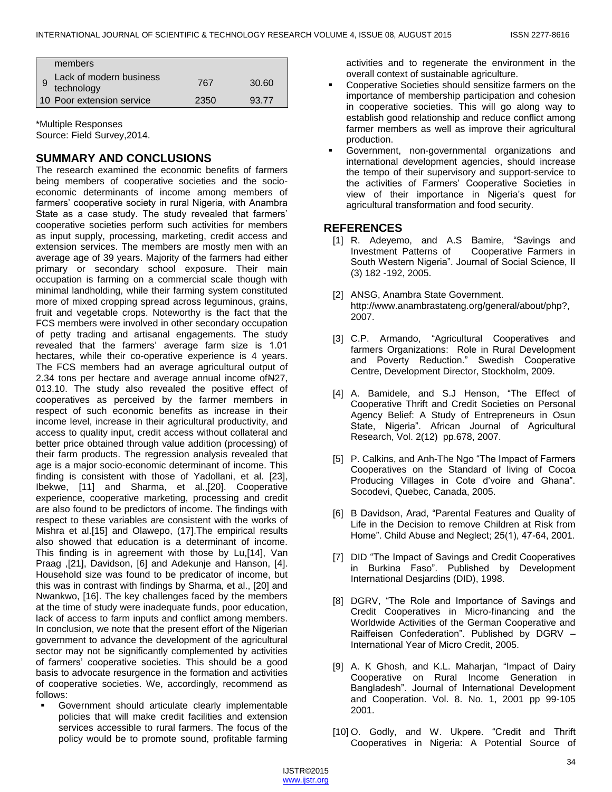| members                                    |      |       |
|--------------------------------------------|------|-------|
| Lack of modern business<br>9<br>technology | 767  | 30.60 |
| 10 Poor extension service                  | 2350 | 93.77 |

\*Multiple Responses Source: Field Survey,2014.

# **SUMMARY AND CONCLUSIONS**

The research examined the economic benefits of farmers being members of cooperative societies and the socioeconomic determinants of income among members of farmers' cooperative society in rural Nigeria, with Anambra State as a case study. The study revealed that farmers' cooperative societies perform such activities for members as input supply, processing, marketing, credit access and extension services. The members are mostly men with an average age of 39 years. Majority of the farmers had either primary or secondary school exposure. Their main occupation is farming on a commercial scale though with minimal landholding, while their farming system constituted more of mixed cropping spread across leguminous, grains, fruit and vegetable crops. Noteworthy is the fact that the FCS members were involved in other secondary occupation of petty trading and artisanal engagements. The study revealed that the farmers' average farm size is 1.01 hectares, while their co-operative experience is 4 years. The FCS members had an average agricultural output of 2.34 tons per hectare and average annual income of N27, 013.10. The study also revealed the positive effect of cooperatives as perceived by the farmer members in respect of such economic benefits as increase in their income level, increase in their agricultural productivity, and access to quality input, credit access without collateral and better price obtained through value addition (processing) of their farm products. The regression analysis revealed that age is a major socio-economic determinant of income. This finding is consistent with those of Yadollani, et al. [23], Ibekwe, [11] and Sharma, et al.,[20]. Cooperative experience, cooperative marketing, processing and credit are also found to be predictors of income. The findings with respect to these variables are consistent with the works of Mishra et al.[15] and Olawepo, (17].The empirical results also showed that education is a determinant of income. This finding is in agreement with those by Lu,[14], Van Praag ,[21], Davidson, [6] and Adekunje and Hanson, [4]. Household size was found to be predicator of income, but this was in contrast with findings by Sharma, et al., [20] and Nwankwo, [16]. The key challenges faced by the members at the time of study were inadequate funds, poor education, lack of access to farm inputs and conflict among members. In conclusion, we note that the present effort of the Nigerian government to advance the development of the agricultural sector may not be significantly complemented by activities of farmers' cooperative societies. This should be a good basis to advocate resurgence in the formation and activities of cooperative societies. We, accordingly, recommend as follows:

 Government should articulate clearly implementable policies that will make credit facilities and extension services accessible to rural farmers. The focus of the policy would be to promote sound, profitable farming activities and to regenerate the environment in the overall context of sustainable agriculture.

- Cooperative Societies should sensitize farmers on the importance of membership participation and cohesion in cooperative societies. This will go along way to establish good relationship and reduce conflict among farmer members as well as improve their agricultural production.
- Government, non-governmental organizations and international development agencies, should increase the tempo of their supervisory and support-service to the activities of Farmers' Cooperative Societies in view of their importance in Nigeria's quest for agricultural transformation and food security.

## **REFERENCES**

- [1] R. Adeyemo, and A.S Bamire, "Savings and Investment Patterns of Cooperative Farmers in South Western Nigeria". Journal of Social Science, II (3) 182 -192, 2005.
- [2] ANSG, Anambra State Government. http://www.anambrastateng.org/general/about/php?, 2007.
- [3] C.P. Armando, "Agricultural Cooperatives and farmers Organizations: Role in Rural Development and Poverty Reduction.‖ Swedish Cooperative Centre, Development Director, Stockholm, 2009.
- [4] A. Bamidele, and S.J Henson, "The Effect of Cooperative Thrift and Credit Societies on Personal Agency Belief: A Study of Entrepreneurs in Osun State, Nigeria". African Journal of Agricultural Research, Vol. 2(12) pp.678, 2007.
- [5] P. Calkins, and Anh-The Ngo "The Impact of Farmers" Cooperatives on the Standard of living of Cocoa Producing Villages in Cote d'voire and Ghana‖. Socodevi, Quebec, Canada, 2005.
- [6] B Davidson, Arad, "Parental Features and Quality of Life in the Decision to remove Children at Risk from Home‖. Child Abuse and Neglect; 25(1), 47-64, 2001.
- [7] DID "The Impact of Savings and Credit Cooperatives in Burkina Faso". Published by Development International Desjardins (DID), 1998.
- [8] DGRV, "The Role and Importance of Savings and Credit Cooperatives in Micro-financing and the Worldwide Activities of the German Cooperative and Raiffeisen Confederation". Published by DGRV -International Year of Micro Credit, 2005.
- [9] A. K Ghosh, and K.L. Maharjan, "Impact of Dairy Cooperative on Rural Income Generation in Bangladesh". Journal of International Development and Cooperation. Vol. 8. No. 1, 2001 pp 99-105 2001.
- [10] O. Godly, and W. Ukpere. "Credit and Thrift Cooperatives in Nigeria: A Potential Source of